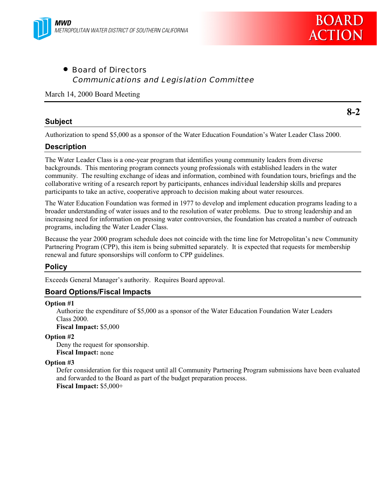

• Board of Directors Communications and Legislation Committee

March 14, 2000 Board Meeting

### **Subject**

**8-2**

Authorization to spend \$5,000 as a sponsor of the Water Education Foundation's Water Leader Class 2000.

# **Description**

The Water Leader Class is a one-year program that identifies young community leaders from diverse backgrounds. This mentoring program connects young professionals with established leaders in the water community. The resulting exchange of ideas and information, combined with foundation tours, briefings and the collaborative writing of a research report by participants, enhances individual leadership skills and prepares participants to take an active, cooperative approach to decision making about water resources.

The Water Education Foundation was formed in 1977 to develop and implement education programs leading to a broader understanding of water issues and to the resolution of water problems. Due to strong leadership and an increasing need for information on pressing water controversies, the foundation has created a number of outreach programs, including the Water Leader Class.

Because the year 2000 program schedule does not coincide with the time line for Metropolitan's new Community Partnering Program (CPP), this item is being submitted separately. It is expected that requests for membership renewal and future sponsorships will conform to CPP guidelines.

# **Policy**

Exceeds General Manager's authority. Requires Board approval.

# **Board Options/Fiscal Impacts**

#### **Option #1**

Authorize the expenditure of \$5,000 as a sponsor of the Water Education Foundation Water Leaders Class 2000.

**Fiscal Impact:** \$5,000

### **Option #2**

Deny the request for sponsorship. **Fiscal Impact:** none

### **Option #3**

Defer consideration for this request until all Community Partnering Program submissions have been evaluated and forwarded to the Board as part of the budget preparation process. **Fiscal Impact:** \$5,000+